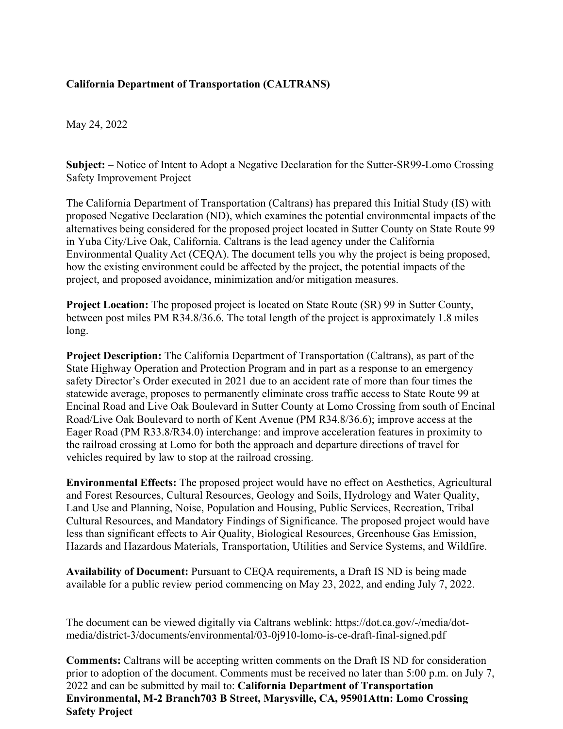## **California Department of Transportation (CALTRANS)**

May 24, 2022

**Subject:** – Notice of Intent to Adopt a Negative Declaration for the Sutter-SR99-Lomo Crossing Safety Improvement Project

The California Department of Transportation (Caltrans) has prepared this Initial Study (IS) with proposed Negative Declaration (ND), which examines the potential environmental impacts of the alternatives being considered for the proposed project located in Sutter County on State Route 99 in Yuba City/Live Oak, California. Caltrans is the lead agency under the California Environmental Quality Act (CEQA). The document tells you why the project is being proposed, how the existing environment could be affected by the project, the potential impacts of the project, and proposed avoidance, minimization and/or mitigation measures.

**Project Location:** The proposed project is located on State Route (SR) 99 in Sutter County, between post miles PM R34.8/36.6. The total length of the project is approximately 1.8 miles long.

**Project Description:** The California Department of Transportation (Caltrans), as part of the State Highway Operation and Protection Program and in part as a response to an emergency safety Director's Order executed in 2021 due to an accident rate of more than four times the statewide average, proposes to permanently eliminate cross traffic access to State Route 99 at Encinal Road and Live Oak Boulevard in Sutter County at Lomo Crossing from south of Encinal Road/Live Oak Boulevard to north of Kent Avenue (PM R34.8/36.6); improve access at the Eager Road (PM R33.8/R34.0) interchange: and improve acceleration features in proximity to the railroad crossing at Lomo for both the approach and departure directions of travel for vehicles required by law to stop at the railroad crossing.

**Environmental Effects:** The proposed project would have no effect on Aesthetics, Agricultural and Forest Resources, Cultural Resources, Geology and Soils, Hydrology and Water Quality, Land Use and Planning, Noise, Population and Housing, Public Services, Recreation, Tribal Cultural Resources, and Mandatory Findings of Significance. The proposed project would have less than significant effects to Air Quality, Biological Resources, Greenhouse Gas Emission, Hazards and Hazardous Materials, Transportation, Utilities and Service Systems, and Wildfire.

**Availability of Document:** Pursuant to CEQA requirements, a Draft IS ND is being made available for a public review period commencing on May 23, 2022, and ending July 7, 2022.

The document can be viewed digitally via Caltrans weblink: https://dot.ca.gov/-/media/dotmedia/district-3/documents/environmental/03-0j910-lomo-is-ce-draft-final-signed.pdf

**Comments:** Caltrans will be accepting written comments on the Draft IS ND for consideration prior to adoption of the document. Comments must be received no later than 5:00 p.m. on July 7, 2022 and can be submitted by mail to: **California Department of Transportation Environmental, M-2 Branch703 B Street, Marysville, CA, 95901Attn: Lomo Crossing Safety Project**